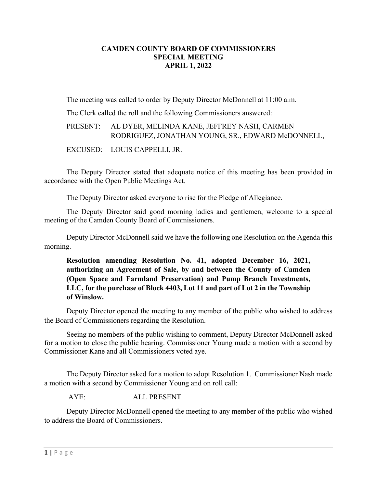## **CAMDEN COUNTY BOARD OF COMMISSIONERS SPECIAL MEETING APRIL 1, 2022**

The meeting was called to order by Deputy Director McDonnell at 11:00 a.m.

The Clerk called the roll and the following Commissioners answered:

PRESENT: AL DYER, MELINDA KANE, JEFFREY NASH, CARMEN RODRIGUEZ, JONATHAN YOUNG, SR., EDWARD McDONNELL,

EXCUSED: LOUIS CAPPELLI, JR.

The Deputy Director stated that adequate notice of this meeting has been provided in accordance with the Open Public Meetings Act.

The Deputy Director asked everyone to rise for the Pledge of Allegiance.

The Deputy Director said good morning ladies and gentlemen, welcome to a special meeting of the Camden County Board of Commissioners.

Deputy Director McDonnell said we have the following one Resolution on the Agenda this morning.

**Resolution amending Resolution No. 41, adopted December 16, 2021, authorizing an Agreement of Sale, by and between the County of Camden (Open Space and Farmland Preservation) and Pump Branch Investments, LLC, for the purchase of Block 4403, Lot 11 and part of Lot 2 in the Township of Winslow.**

Deputy Director opened the meeting to any member of the public who wished to address the Board of Commissioners regarding the Resolution.

Seeing no members of the public wishing to comment, Deputy Director McDonnell asked for a motion to close the public hearing. Commissioner Young made a motion with a second by Commissioner Kane and all Commissioners voted aye.

The Deputy Director asked for a motion to adopt Resolution 1. Commissioner Nash made a motion with a second by Commissioner Young and on roll call:

AYE: ALL PRESENT

Deputy Director McDonnell opened the meeting to any member of the public who wished to address the Board of Commissioners.